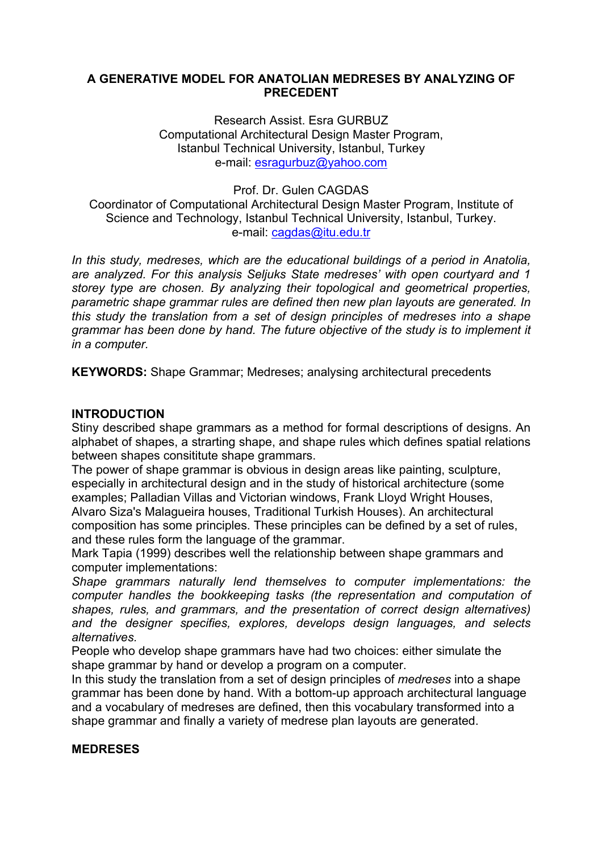### **A GENERATIVE MODEL FOR ANATOLIAN MEDRESES BY ANALYZING OF PRECEDENT**

Research Assist. Esra GURBUZ Computational Architectural Design Master Program, Istanbul Technical University, Istanbul, Turkey e-mail: esragurbuz@yahoo.com

Prof. Dr. Gulen CAGDAS Coordinator of Computational Architectural Design Master Program, Institute of Science and Technology, Istanbul Technical University, Istanbul, Turkey. e-mail: cagdas@itu.edu.tr

*In this study, medreses, which are the educational buildings of a period in Anatolia, are analyzed. For this analysis Seljuks State medreses' with open courtyard and 1 storey type are chosen. By analyzing their topological and geometrical properties, parametric shape grammar rules are defined then new plan layouts are generated. In this study the translation from a set of design principles of medreses into a shape grammar has been done by hand. The future objective of the study is to implement it in a computer.*

**KEYWORDS:** Shape Grammar; Medreses; analysing architectural precedents

### **INTRODUCTION**

Stiny described shape grammars as a method for formal descriptions of designs. An alphabet of shapes, a strarting shape, and shape rules which defines spatial relations between shapes consititute shape grammars.

The power of shape grammar is obvious in design areas like painting, sculpture, especially in architectural design and in the study of historical architecture (some examples; Palladian Villas and Victorian windows, Frank Lloyd Wright Houses, Alvaro Siza's Malagueira houses, Traditional Turkish Houses). An architectural

composition has some principles. These principles can be defined by a set of rules, and these rules form the language of the grammar.

Mark Tapia (1999) describes well the relationship between shape grammars and computer implementations:

*Shape grammars naturally lend themselves to computer implementations: the computer handles the bookkeeping tasks (the representation and computation of shapes, rules, and grammars, and the presentation of correct design alternatives) and the designer specifies, explores, develops design languages, and selects alternatives.* 

People who develop shape grammars have had two choices: either simulate the shape grammar by hand or develop a program on a computer.

In this study the translation from a set of design principles of *medreses* into a shape grammar has been done by hand. With a bottom-up approach architectural language and a vocabulary of medreses are defined, then this vocabulary transformed into a shape grammar and finally a variety of medrese plan layouts are generated.

### **MEDRESES**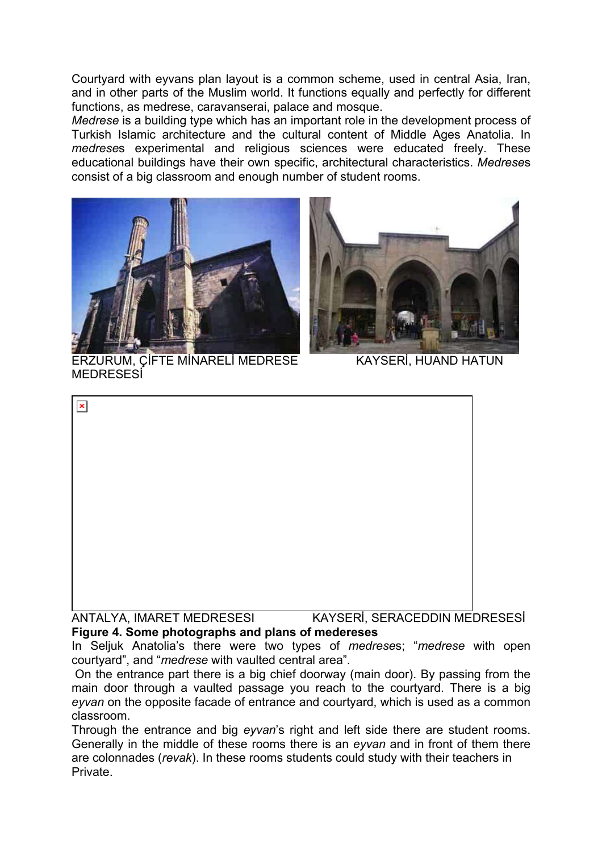Courtyard with eyvans plan layout is a common scheme, used in central Asia, Iran, and in other parts of the Muslim world. It functions equally and perfectly for different functions, as medrese, caravanserai, palace and mosque.

*Medrese* is a building type which has an important role in the development process of Turkish Islamic architecture and the cultural content of Middle Ages Anatolia. In *medrese*s experimental and religious sciences were educated freely. These educational buildings have their own specific, architectural characteristics. *Medrese*s consist of a big classroom and enough number of student rooms.





 ERZURUM, ÇİFTE MİNARELİ MEDRESE KAYSERİ, HUAND HATUN **MEDRESESİ** 

| $\mathbf x$               |                               |
|---------------------------|-------------------------------|
|                           |                               |
|                           |                               |
|                           |                               |
|                           |                               |
|                           |                               |
|                           |                               |
|                           |                               |
|                           |                               |
| ANTALYA, IMARET MEDRESESI | KAYSERİ, SERACEDDIN MEDRESESİ |

# **Figure 4. Some photographs and plans of medereses**

In Seljuk Anatolia's there were two types of *medrese*s; "*medrese* with open courtyard", and "*medrese* with vaulted central area".

 On the entrance part there is a big chief doorway (main door). By passing from the main door through a vaulted passage you reach to the courtyard. There is a big *eyvan* on the opposite facade of entrance and courtyard, which is used as a common classroom.

Through the entrance and big *eyvan*'s right and left side there are student rooms. Generally in the middle of these rooms there is an *eyvan* and in front of them there are colonnades (*revak*). In these rooms students could study with their teachers in Private.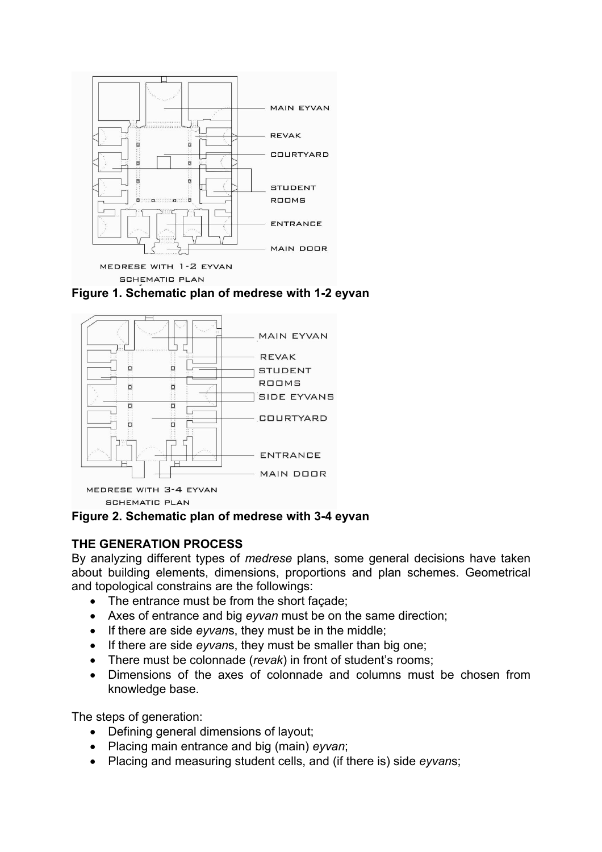

**Figure 1. Schematic plan of medrese with 1-2 eyvan** 



**Figure 2. Schematic plan of medrese with 3-4 eyvan** 

# **THE GENERATION PROCESS**

By analyzing different types of *medrese* plans, some general decisions have taken about building elements, dimensions, proportions and plan schemes. Geometrical and topological constrains are the followings:

- The entrance must be from the short façade;
- Axes of entrance and big *eyvan* must be on the same direction;
- If there are side *eyvan*s, they must be in the middle;
- If there are side *eyvan*s, they must be smaller than big one;
- There must be colonnade (*revak*) in front of student's rooms;
- Dimensions of the axes of colonnade and columns must be chosen from knowledge base.

The steps of generation:

- Defining general dimensions of layout;
- Placing main entrance and big (main) *eyvan*;
- Placing and measuring student cells, and (if there is) side *eyvan*s;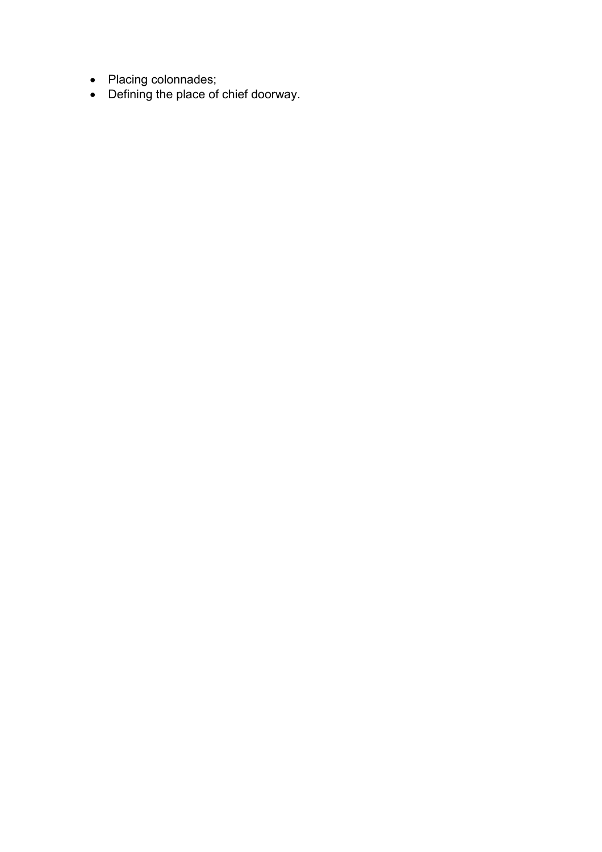- Placing colonnades;
- Defining the place of chief doorway.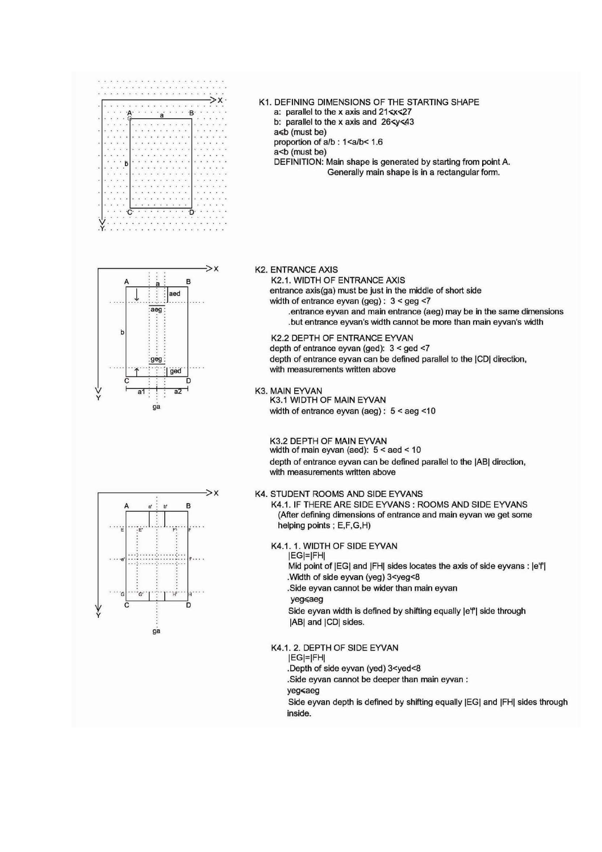

 $\rightarrow$   $\times$ 

 $\overline{B}$ 

aed

ged

 $\overline{a}$ 

aeg:

aea

ga

Ł



a: parallel to the x axis and 21 < x < 27

DEFINITION: Main shape is generated by starting from point A. Generally main shape is in a rectangular form.

K1. DEFINING DIMENSIONS OF THE STARTING SHAPE

#### **K2. ENTRANCE AXIS**

### K2.1. WIDTH OF ENTRANCE AXIS

entrance axis(ga) must be just in the middle of short side width of entrance eyvan (geg):  $3 <$  geg <7

entrance eyvan and main entrance (aeg) may be in the same dimensions. .but entrance eyvan's width cannot be more than main eyvan's width

K2.2 DEPTH OF ENTRANCE EYVAN

depth of entrance eyvan (ged): 3 < ged <7 depth of entrance eyvan can be defined parallel to the (CD) direction, with measurements written above

K3. MAIN EYVAN

K3.1 WIDTH OF MAIN EYVAN width of entrance eyvan (aeg):  $5 <$  aeg <10

K3.2 DEPTH OF MAIN EYVAN

width of main eyvan (aed):  $5 <$  aed  $< 10$ depth of entrance eyvan can be defined parallel to the |AB| direction. with measurements written above

#### K4. STUDENT ROOMS AND SIDE EYVANS

K4.1. IF THERE ARE SIDE EYVANS : ROOMS AND SIDE EYVANS (After defining dimensions of entrance and main eyvan we get some helping points; E,F,G,H)

K4.1. 1. WIDTH OF SIDE EYVAN

 $|EG|=|FH|$ Mid point of |EG| and |FH| sides locates the axis of side eyvans : |e'f| .Width of side eyvan (yeg) 3<yeg<8

.Side eyvan cannot be wider than main eyvan

yeg≼aeg

Side eyvan width is defined by shifting equally | e'f| side through |AB| and |CD| sides.

#### K4.1. 2. DEPTH OF SIDE EYVAN

 $|EG|=|FH|$ 

.Depth of side eyvan (yed) 3<yed<8

.Side eyvan cannot be deeper than main eyvan:

yeg≼aeg

Side eyvan depth is defined by shifting equally [EG] and [FH] sides through inside.

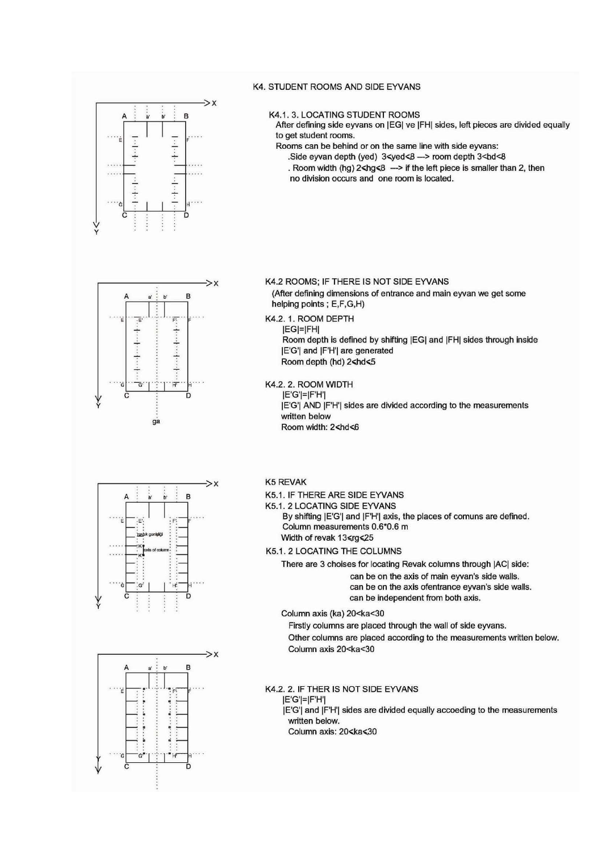

#### **K4. STUDENT ROOMS AND SIDE EYVANS**

#### K4.1. 3. LOCATING STUDENT ROOMS

After defining side eyvans on [EG] ve [FH] sides, left pieces are divided equally to get student rooms.

Rooms can be behind or on the same line with side eyvans:

Side eyvan depth (yed) 3<yed<8 -> room depth 3<hd<8 . Room width (hg)  $2$ <hg<8 - > if the left piece is smaller than 2, then no division occurs and one room is located.

 $\rightarrow$ x B  $\overline{h}$ 司 T  $+...+...+...+...$  $\dots + \dots + \dots$  $\overline{H}$ 7. **a** 





#### K4.2 ROOMS; IF THERE IS NOT SIDE EYVANS

(After defining dimensions of entrance and main eyvan we get some helping points; E,F,G,H)

### K4.2. 1. ROOM DEPTH

**IEGI=IFHI** Room depth is defined by shifting [EG] and [FH] sides through inside **IE'G'| and IF'H'| are generated** Room depth (hd) 2<hd<5

K4.2. 2. ROOM WIDTH

 $|E'G'|=|F'H'|$ 

[E'G'] AND [F'H'] sides are divided according to the measurements written below Room width: 2<hd<6

#### **K5 REVAK**

- K5.1. IF THERE ARE SIDE EYVANS
- K5.1, 2 LOCATING SIDE EYVANS

By shifting | E'G'| and | F'H'| axis, the places of comuns are defined. Column measurements 0.6\*0.6 m Width of revak 13 <rg < 25

K5.1. 2 LOCATING THE COLUMNS

There are 3 choises for locating Revak columns through |AC| side:

can be on the axis of main eyvan's side walls. can be on the axis ofentrance eyvan's side walls. can be independent from both axis.

Column axis (ka) 20<ka<30

Firstly columns are placed through the wall of side eyvans.

Other columns are placed according to the measurements written below. Column axis 20<ka<30

#### K4.2. 2. IF THER IS NOT SIDE EYVANS

 $|E'G'|=|F'H'|$ 

[E'G'] and [F'H'] sides are divided equally accoeding to the measurements written below.

Column axis: 20<ka<30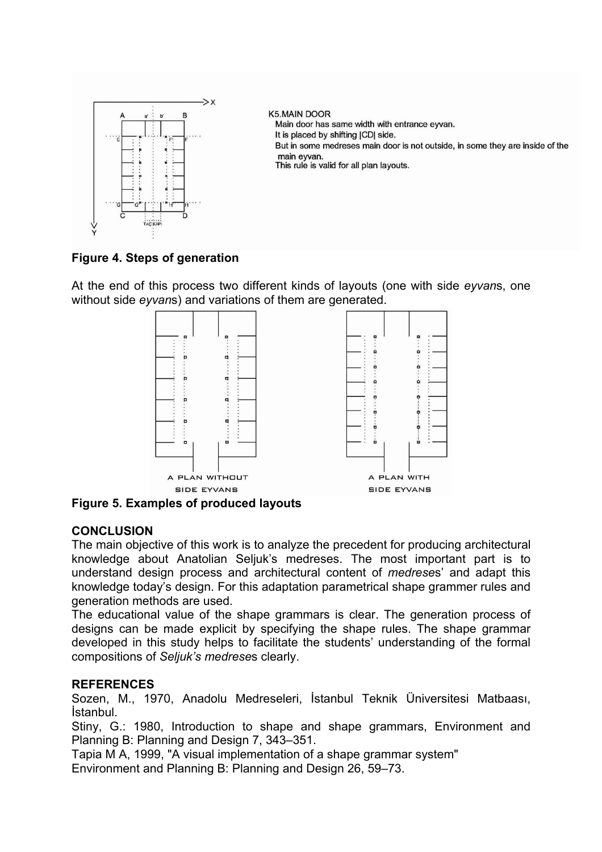

# **Figure 4. Steps of generation**

At the end of this process two different kinds of layouts (one with side *eyvan*s, one without side *eyvan*s) and variations of them are generated.



**Figure 5. Examples of produced layouts** 

# **CONCLUSION**

The main objective of this work is to analyze the precedent for producing architectural knowledge about Anatolian Seljuk's medreses. The most important part is to understand design process and architectural content of *medrese*s' and adapt this knowledge today's design. For this adaptation parametrical shape grammer rules and generation methods are used.

The educational value of the shape grammars is clear. The generation process of designs can be made explicit by specifying the shape rules. The shape grammar developed in this study helps to facilitate the students' understanding of the formal compositions of *Seljuk's medrese*s clearly.

# **REFERENCES**

Sozen, M., 1970, Anadolu Medreseleri, İstanbul Teknik Üniversitesi Matbaası, İstanbul.

Stiny, G.: 1980, Introduction to shape and shape grammars, Environment and Planning B: Planning and Design 7, 343–351.

Tapia M A, 1999, "A visual implementation of a shape grammar system" Environment and Planning B: Planning and Design 26, 59–73.